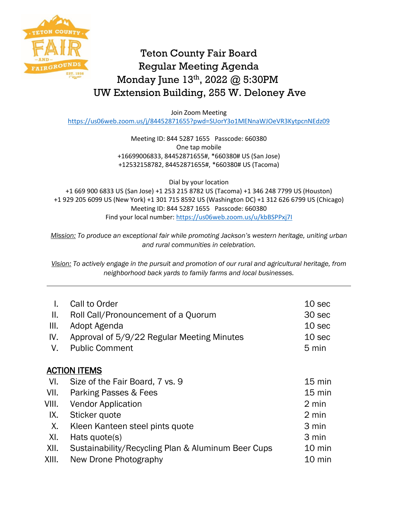

## Teton County Fair Board Regular Meeting Agenda Monday June 13th, 2022 @ 5:30PM UW Extension Building, 255 W. Deloney Ave

Join Zoom Meeting

<https://us06web.zoom.us/j/84452871655?pwd=SUorY3o1MENnaWJOeVR3KytpcnNEdz09>

Meeting ID: 844 5287 1655 Passcode: 660380 One tap mobile +16699006833, 84452871655#, \*660380# US (San Jose) +12532158782, 84452871655#, \*660380# US (Tacoma)

Dial by your location +1 669 900 6833 US (San Jose) +1 253 215 8782 US (Tacoma) +1 346 248 7799 US (Houston) +1 929 205 6099 US (New York) +1 301 715 8592 US (Washington DC) +1 312 626 6799 US (Chicago) Meeting ID: 844 5287 1655 Passcode: 660380 Find your local number:<https://us06web.zoom.us/u/kbBSPPxj7I>

*Mission: To produce an exceptional fair while promoting Jackson's western heritage, uniting urban and rural communities in celebration.*

*Vision: To actively engage in the pursuit and promotion of our rural and agricultural heritage, from neighborhood back yards to family farms and local businesses.*

| I.                  | Call to Order                                      | 10 sec           |  |  |
|---------------------|----------------------------------------------------|------------------|--|--|
| II.                 | Roll Call/Pronouncement of a Quorum                | 30 sec           |  |  |
| III.                | Adopt Agenda                                       | 10 sec           |  |  |
| IV.                 | Approval of 5/9/22 Regular Meeting Minutes         | 10 sec           |  |  |
| V.                  | <b>Public Comment</b>                              | 5 min            |  |  |
|                     |                                                    |                  |  |  |
| <b>ACTION ITEMS</b> |                                                    |                  |  |  |
| VI.                 | Size of the Fair Board, 7 vs. 9                    | $15 \text{ min}$ |  |  |
| VII.                | Parking Passes & Fees                              | $15 \text{ min}$ |  |  |
| VIII.               | <b>Vendor Application</b>                          | 2 min            |  |  |
| IX.                 | Sticker quote                                      | 2 min            |  |  |
| X.                  | Kleen Kanteen steel pints quote                    | 3 min            |  |  |
| XI.                 | Hats quote(s)                                      | 3 min            |  |  |
| XII.                | Sustainability/Recycling Plan & Aluminum Beer Cups | 10 min           |  |  |
| XIII.               | New Drone Photography                              | $10 \text{ min}$ |  |  |
|                     |                                                    |                  |  |  |